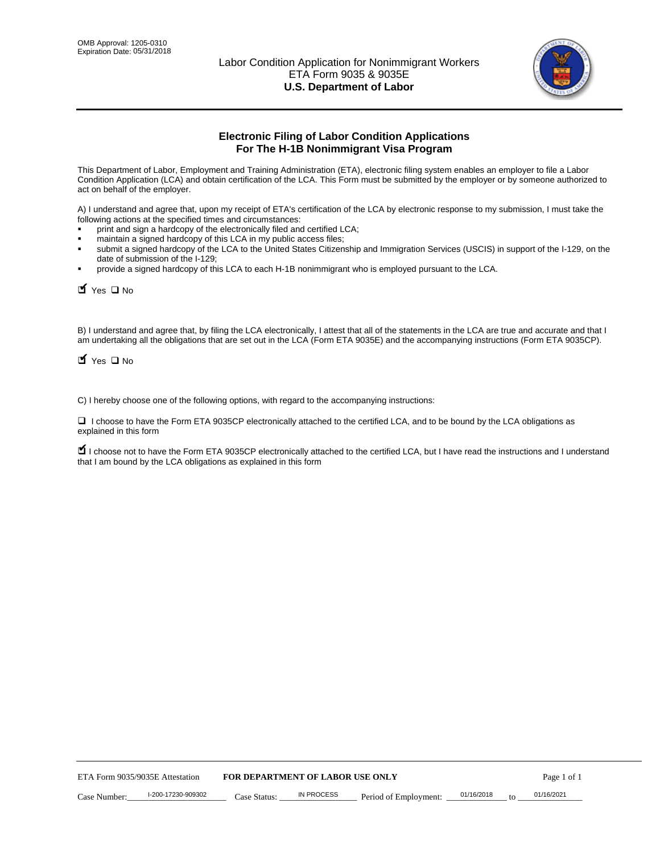

# **Electronic Filing of Labor Condition Applications For The H-1B Nonimmigrant Visa Program**

This Department of Labor, Employment and Training Administration (ETA), electronic filing system enables an employer to file a Labor Condition Application (LCA) and obtain certification of the LCA. This Form must be submitted by the employer or by someone authorized to act on behalf of the employer.

A) I understand and agree that, upon my receipt of ETA's certification of the LCA by electronic response to my submission, I must take the following actions at the specified times and circumstances:

- print and sign a hardcopy of the electronically filed and certified LCA;
- maintain a signed hardcopy of this LCA in my public access files;
- submit a signed hardcopy of the LCA to the United States Citizenship and Immigration Services (USCIS) in support of the I-129, on the date of submission of the I-129;
- provide a signed hardcopy of this LCA to each H-1B nonimmigrant who is employed pursuant to the LCA.

| Yes O No                                                                                                                                                                                                                                                                                                 |                                  |                   |                       |            |    |             |
|----------------------------------------------------------------------------------------------------------------------------------------------------------------------------------------------------------------------------------------------------------------------------------------------------------|----------------------------------|-------------------|-----------------------|------------|----|-------------|
| B) I understand and agree that, by filing the LCA electronically, I attest that all of the statements in the LCA are true and accurate and th<br>am undertaking all the obligations that are set out in the LCA (Form ETA 9035E) and the accompanying instructions (Form ETA 9035CI<br>$Y$ Yes $\Box$ No |                                  |                   |                       |            |    |             |
| C) I hereby choose one of the following options, with regard to the accompanying instructions:                                                                                                                                                                                                           |                                  |                   |                       |            |    |             |
| □ I choose to have the Form ETA 9035CP electronically attached to the certified LCA, and to be bound by the LCA obligations as<br>explained in this form                                                                                                                                                 |                                  |                   |                       |            |    |             |
| I choose not to have the Form ETA 9035CP electronically attached to the certified LCA, but I have read the instructions and I unders<br>that I am bound by the LCA obligations as explained in this form                                                                                                 |                                  |                   |                       |            |    |             |
|                                                                                                                                                                                                                                                                                                          |                                  |                   |                       |            |    |             |
|                                                                                                                                                                                                                                                                                                          |                                  |                   |                       |            |    |             |
|                                                                                                                                                                                                                                                                                                          |                                  |                   |                       |            |    |             |
|                                                                                                                                                                                                                                                                                                          |                                  |                   |                       |            |    |             |
|                                                                                                                                                                                                                                                                                                          |                                  |                   |                       |            |    |             |
|                                                                                                                                                                                                                                                                                                          |                                  |                   |                       |            |    |             |
|                                                                                                                                                                                                                                                                                                          |                                  |                   |                       |            |    |             |
|                                                                                                                                                                                                                                                                                                          |                                  |                   |                       |            |    |             |
|                                                                                                                                                                                                                                                                                                          |                                  |                   |                       |            |    |             |
|                                                                                                                                                                                                                                                                                                          |                                  |                   |                       |            |    |             |
| ETA Form 9035/9035E Attestation                                                                                                                                                                                                                                                                          | FOR DEPARTMENT OF LABOR USE ONLY |                   |                       |            |    | Page 1 of 1 |
| I-200-17230-909302<br>Case Number:                                                                                                                                                                                                                                                                       | Case Status:                     | <b>IN PROCESS</b> | Period of Employment: | 01/16/2018 | to | 01/16/2021  |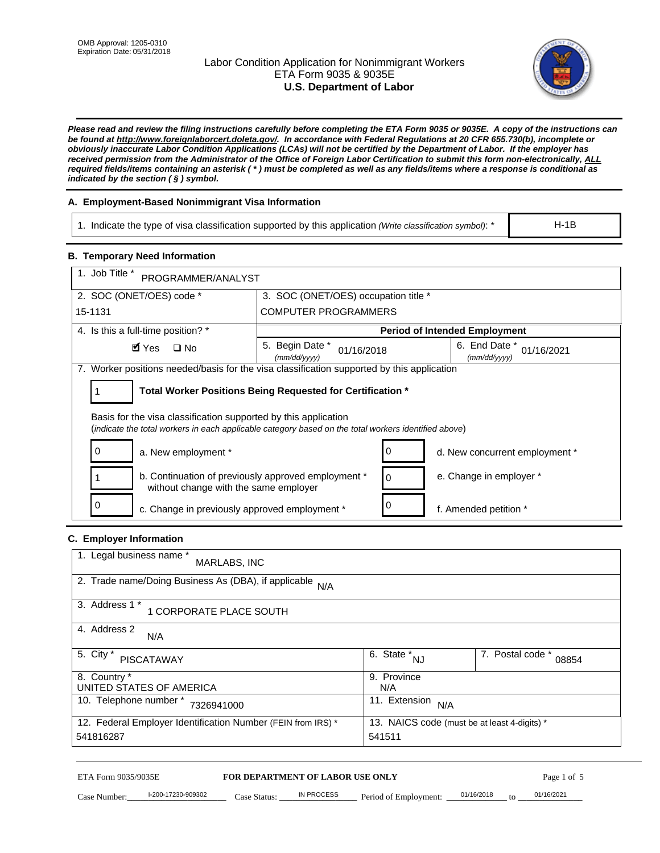# Labor Condition Application for Nonimmigrant Workers ETA Form 9035 & 9035E **U.S. Department of Labor**



*Please read and review the filing instructions carefully before completing the ETA Form 9035 or 9035E. A copy of the instructions can be found at http://www.foreignlaborcert.doleta.gov/. In accordance with Federal Regulations at 20 CFR 655.730(b), incomplete or obviously inaccurate Labor Condition Applications (LCAs) will not be certified by the Department of Labor. If the employer has received permission from the Administrator of the Office of Foreign Labor Certification to submit this form non-electronically, ALL required fields/items containing an asterisk ( \* ) must be completed as well as any fields/items where a response is conditional as indicated by the section ( § ) symbol.* 

# **A. Employment-Based Nonimmigrant Visa Information**

1. Indicate the type of visa classification supported by this application *(Write classification symbol)*: \*

### **B. Temporary Need Information**

|                                                                                                                                                                         | 1. Indicate the type of visa classification supported by this application (Write classification symbol): *<br>$H-1B$ |                                                 |                                              |                           |  |
|-------------------------------------------------------------------------------------------------------------------------------------------------------------------------|----------------------------------------------------------------------------------------------------------------------|-------------------------------------------------|----------------------------------------------|---------------------------|--|
| <b>B. Temporary Need Information</b>                                                                                                                                    |                                                                                                                      |                                                 |                                              |                           |  |
| 1. Job Title *<br>PROGRAMMER/ANALYST                                                                                                                                    |                                                                                                                      |                                                 |                                              |                           |  |
| 2. SOC (ONET/OES) code *<br>3. SOC (ONET/OES) occupation title *                                                                                                        |                                                                                                                      |                                                 |                                              |                           |  |
| 15-1131                                                                                                                                                                 | <b>COMPUTER PROGRAMMERS</b>                                                                                          |                                                 |                                              |                           |  |
| 4. Is this a full-time position? *                                                                                                                                      |                                                                                                                      |                                                 | <b>Period of Intended Employment</b>         |                           |  |
| $\blacksquare$ Yes<br>$\square$ No                                                                                                                                      | 5. Begin Date *<br>01/16/2018<br>(mm/dd/yyyy)                                                                        |                                                 | 6. End Date *<br>(mm/dd/yyyy)                | 01/16/2021                |  |
| 7. Worker positions needed/basis for the visa classification supported by this application                                                                              |                                                                                                                      |                                                 |                                              |                           |  |
| Total Worker Positions Being Requested for Certification *<br>1                                                                                                         |                                                                                                                      |                                                 |                                              |                           |  |
| Basis for the visa classification supported by this application<br>(indicate the total workers in each applicable category based on the total workers identified above) |                                                                                                                      |                                                 |                                              |                           |  |
| 0<br>a. New employment *                                                                                                                                                |                                                                                                                      | 0                                               | d. New concurrent employment *               |                           |  |
| b. Continuation of previously approved employment *<br>without change with the same employer                                                                            |                                                                                                                      | 0                                               | e. Change in employer *                      |                           |  |
| 0<br>0<br>c. Change in previously approved employment *<br>f. Amended petition *                                                                                        |                                                                                                                      |                                                 |                                              |                           |  |
| C. Employer Information                                                                                                                                                 |                                                                                                                      |                                                 |                                              |                           |  |
| 1. Legal business name *<br>MARLABS, INC                                                                                                                                |                                                                                                                      |                                                 |                                              |                           |  |
| 2. Trade name/Doing Business As (DBA), if applicable N/A                                                                                                                |                                                                                                                      |                                                 |                                              |                           |  |
| 3. Address 1 *<br>1 CORPORATE PLACE SOUTH                                                                                                                               |                                                                                                                      |                                                 |                                              |                           |  |
| 4. Address 2<br>N/A                                                                                                                                                     |                                                                                                                      |                                                 |                                              |                           |  |
| 5. City *<br><b>PISCATAWAY</b>                                                                                                                                          |                                                                                                                      | $\overline{6. \quad \text{State}}^*_{\quad NJ}$ |                                              | 7. Postal code *<br>08854 |  |
| 8. Country *<br>UNITED STATES OF AMERICA                                                                                                                                |                                                                                                                      | 9. Province<br>N/A                              |                                              |                           |  |
|                                                                                                                                                                         | 11. Extension $N/A$<br>10. Telephone number * 7326941000                                                             |                                                 |                                              |                           |  |
| 12. Federal Employer Identification Number (FEIN from IRS) *<br>541816287                                                                                               |                                                                                                                      | 541511                                          | 13. NAICS code (must be at least 4-digits) * |                           |  |
|                                                                                                                                                                         |                                                                                                                      |                                                 |                                              |                           |  |
| ETA Form 9035/9035E<br>I-200-17230-909302<br>Case Number:                                                                                                               | FOR DEPARTMENT OF LABOR USE ONLY<br>IN PROCESS<br>$Case$ Statue                                                      | Period of Employment:                           | 01/16/2018                                   | Page 1 of 5<br>01/16/2021 |  |

# **C. Employer Information**

| 1. Legal business name *<br>MARLABS, INC                     |                                              |                           |
|--------------------------------------------------------------|----------------------------------------------|---------------------------|
| 2. Trade name/Doing Business As (DBA), if applicable N/A     |                                              |                           |
| 3. Address 1 *<br>1 CORPORATE PLACE SOUTH                    |                                              |                           |
| 4. Address 2<br>N/A                                          |                                              |                           |
| 5. City *<br><b>PISCATAWAY</b>                               | 6. State *<br><b>NJ</b>                      | 7. Postal code *<br>08854 |
| 8. Country *                                                 | 9. Province                                  |                           |
| UNITED STATES OF AMERICA                                     | N/A                                          |                           |
| 10. Telephone number *<br>7326941000                         | 11. Extension<br>N/A                         |                           |
| 12. Federal Employer Identification Number (FEIN from IRS) * | 13. NAICS code (must be at least 4-digits) * |                           |
| 541816287                                                    | 541511                                       |                           |

# ETA Form 9035/9035E **FOR DEPARTMENT OF LABOR USE ONLY** Page 1 of 5<br>Case Number: 1-200-17230-909302 Case Status: IN PROCESS Period of Employment: 01/16/2018 to 01/16/2021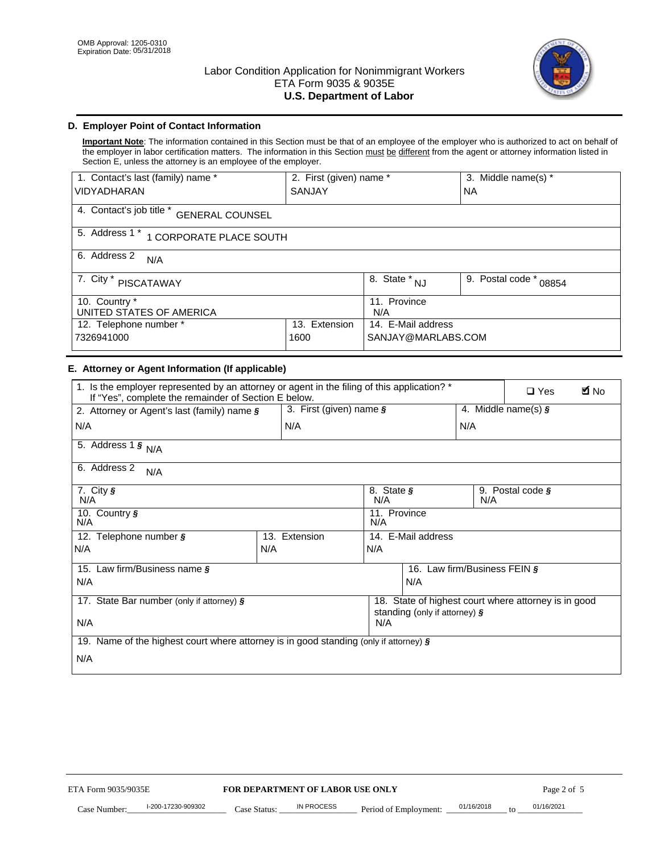

# **D. Employer Point of Contact Information**

**Important Note**: The information contained in this Section must be that of an employee of the employer who is authorized to act on behalf of the employer in labor certification matters. The information in this Section must be different from the agent or attorney information listed in Section E, unless the attorney is an employee of the employer.

| 1. Contact's last (family) name *                  | 2. First (given) name * |                         | 3. Middle name(s) *       |  |
|----------------------------------------------------|-------------------------|-------------------------|---------------------------|--|
| <b>VIDYADHARAN</b>                                 | <b>SANJAY</b>           |                         | NA.                       |  |
| 4. Contact's job title *<br><b>GENERAL COUNSEL</b> |                         |                         |                           |  |
| 5. Address 1 *<br>1 CORPORATE PLACE SOUTH          |                         |                         |                           |  |
| 6. Address 2<br>N/A                                |                         |                         |                           |  |
| 7. City $*$<br><b>PISCATAWAY</b>                   |                         | 8. State *<br><b>NJ</b> | 9. Postal code *<br>08854 |  |
| 10. Country *                                      |                         | 11. Province            |                           |  |
| UNITED STATES OF AMERICA                           |                         | N/A                     |                           |  |
| 12. Telephone number *<br>Extension<br>13.         |                         | 14. E-Mail address      |                           |  |
| 7326941000<br>1600                                 |                         | SANJAY@MARLABS.COM      |                           |  |

# **E. Attorney or Agent Information (If applicable)**

| VIDYADHARAN                                                                                                                                         | SANJAY                           |                                           |                                          | <b>NA</b>                    |                                                      |             |
|-----------------------------------------------------------------------------------------------------------------------------------------------------|----------------------------------|-------------------------------------------|------------------------------------------|------------------------------|------------------------------------------------------|-------------|
| 4. Contact's job title * GENERAL COUNSEL                                                                                                            |                                  |                                           |                                          |                              |                                                      |             |
| 5. Address 1 * 1 CORPORATE PLACE SOUTH                                                                                                              |                                  |                                           |                                          |                              |                                                      |             |
| 6. Address 2<br>N/A                                                                                                                                 |                                  |                                           |                                          |                              |                                                      |             |
| 7. City * PISCATAWAY                                                                                                                                |                                  | $\overline{\phantom{a}}$ 8. State $^*$ NJ |                                          | 9. Postal code *             | 08854                                                |             |
| 10. Country *<br>UNITED STATES OF AMERICA                                                                                                           |                                  | 11. Province<br>N/A                       |                                          |                              |                                                      |             |
| 12. Telephone number *<br>7326941000                                                                                                                | 13. Extension<br>1600            |                                           | 14. E-Mail address<br>SANJAY@MARLABS.COM |                              |                                                      |             |
| E. Attorney or Agent Information (If applicable)                                                                                                    |                                  |                                           |                                          |                              |                                                      |             |
| 1. Is the employer represented by an attorney or agent in the filing of this application? *<br>If "Yes", complete the remainder of Section E below. |                                  |                                           |                                          |                              | $\Box$ Yes                                           | <b>A</b> No |
| 2. Attorney or Agent's last (family) name §                                                                                                         | 3. First (given) name $\S$       |                                           |                                          |                              | 4. Middle name(s) $\sqrt{s}$                         |             |
| N/A                                                                                                                                                 | N/A                              |                                           |                                          | N/A                          |                                                      |             |
| 5. Address 1 $\frac{1}{9}$ N/A                                                                                                                      |                                  |                                           |                                          |                              |                                                      |             |
| 6. Address 2<br>N/A                                                                                                                                 |                                  |                                           |                                          |                              |                                                      |             |
| $7.$ City $\frac{1}{9}$<br>N/A                                                                                                                      |                                  | N/A                                       | 8. State §<br>9. Postal code §<br>N/A    |                              |                                                      |             |
| 10. Country §<br>N/A                                                                                                                                |                                  | 11. Province<br>N/A                       |                                          |                              |                                                      |             |
| 12. Telephone number §                                                                                                                              | 13. Extension                    | 14. E-Mail address                        |                                          |                              |                                                      |             |
| N/A                                                                                                                                                 | N/A                              | N/A                                       |                                          |                              |                                                      |             |
| 15. Law firm/Business name §                                                                                                                        |                                  |                                           |                                          | 16. Law firm/Business FEIN § |                                                      |             |
| N/A                                                                                                                                                 |                                  |                                           | N/A                                      |                              |                                                      |             |
| 17. State Bar number (only if attorney) §                                                                                                           |                                  |                                           | standing (only if attorney) §            |                              | 18. State of highest court where attorney is in good |             |
| N/A                                                                                                                                                 |                                  | N/A                                       |                                          |                              |                                                      |             |
| 19. Name of the highest court where attorney is in good standing (only if attorney) §                                                               |                                  |                                           |                                          |                              |                                                      |             |
| N/A                                                                                                                                                 |                                  |                                           |                                          |                              |                                                      |             |
|                                                                                                                                                     |                                  |                                           |                                          |                              |                                                      |             |
|                                                                                                                                                     |                                  |                                           |                                          |                              |                                                      |             |
|                                                                                                                                                     |                                  |                                           |                                          |                              |                                                      |             |
|                                                                                                                                                     |                                  |                                           |                                          |                              |                                                      |             |
|                                                                                                                                                     |                                  |                                           |                                          |                              |                                                      |             |
|                                                                                                                                                     |                                  |                                           |                                          |                              |                                                      |             |
|                                                                                                                                                     |                                  |                                           |                                          |                              |                                                      |             |
| ETA Form 9035/9035E                                                                                                                                 | FOR DEPARTMENT OF LABOR USE ONLY |                                           |                                          |                              | Page 2 of 5                                          |             |
| I-200-17230-909302                                                                                                                                  | <b>IN PROCESS</b>                |                                           |                                          | 01/16/2018                   | 01/16/2021                                           |             |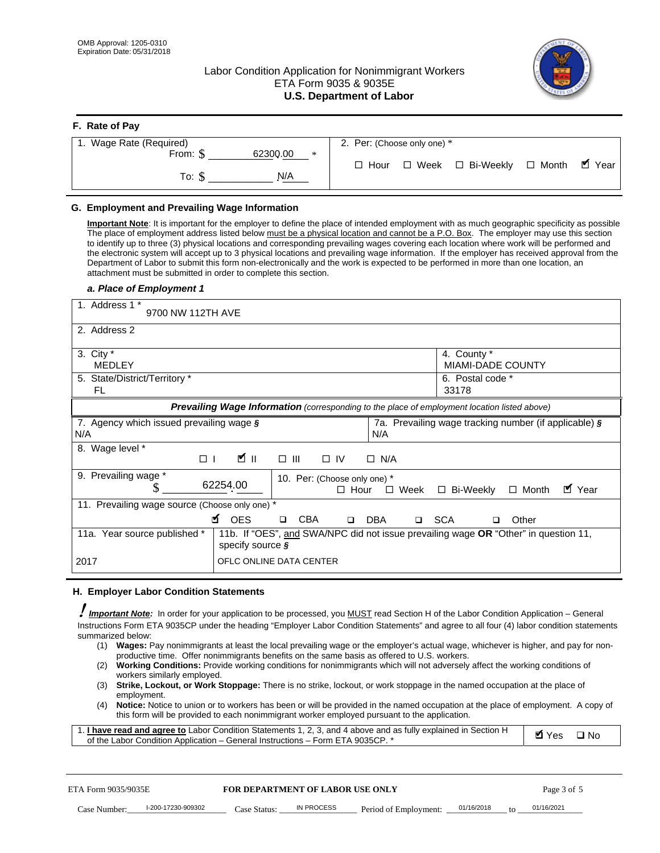**F. Rate of Pay** 

# Labor Condition Application for Nonimmigrant Workers ETA Form 9035 & 9035E **U.S. Department of Labor**



| <b>F.</b> Rate of Pay          |                                                  |
|--------------------------------|--------------------------------------------------|
| 1. Wage Rate (Required)        | 2. Per: (Choose only one) *                      |
| 62300.00<br>From: \$<br>$\ast$ |                                                  |
| N/A<br>To: S                   | □ Week □ Bi-Weekly □ Month ■ Year<br>$\Box$ Hour |

## **G. Employment and Prevailing Wage Information**

#### *a. Place of Employment 1*

| From: \$                                                                                    | 62300.00<br>$\ast$<br>To: $\S$<br>N/A                                                                                                                                                                                                                                                                                                                                                                                                                                                                                                                                                                                                                                                                                                                                                                                                                                                                                                                                                                                                                                                                                                                                                                                                | $\Box$ Hour                                                                         | $\Box$ Week $\Box$ Bi-Weekly                                         | $\blacksquare$ Year<br>$\Box$ Month |
|---------------------------------------------------------------------------------------------|--------------------------------------------------------------------------------------------------------------------------------------------------------------------------------------------------------------------------------------------------------------------------------------------------------------------------------------------------------------------------------------------------------------------------------------------------------------------------------------------------------------------------------------------------------------------------------------------------------------------------------------------------------------------------------------------------------------------------------------------------------------------------------------------------------------------------------------------------------------------------------------------------------------------------------------------------------------------------------------------------------------------------------------------------------------------------------------------------------------------------------------------------------------------------------------------------------------------------------------|-------------------------------------------------------------------------------------|----------------------------------------------------------------------|-------------------------------------|
| G. Employment and Prevailing Wage Information<br>a. Place of Employment 1                   | Important Note: It is important for the employer to define the place of intended employment with as much geographic specificity as possible<br>The place of employment address listed below must be a physical location and cannot be a P.O. Box. The employer may use this section<br>to identify up to three (3) physical locations and corresponding prevailing wages covering each location where work will be performed and<br>the electronic system will accept up to 3 physical locations and prevailing wage information. If the employer has received approval from the<br>Department of Labor to submit this form non-electronically and the work is expected to be performed in more than one location, an<br>attachment must be submitted in order to complete this section.                                                                                                                                                                                                                                                                                                                                                                                                                                             |                                                                                     |                                                                      |                                     |
| 1. Address 1 *<br>9700 NW 112TH AVE                                                         |                                                                                                                                                                                                                                                                                                                                                                                                                                                                                                                                                                                                                                                                                                                                                                                                                                                                                                                                                                                                                                                                                                                                                                                                                                      |                                                                                     |                                                                      |                                     |
| 2. Address 2                                                                                |                                                                                                                                                                                                                                                                                                                                                                                                                                                                                                                                                                                                                                                                                                                                                                                                                                                                                                                                                                                                                                                                                                                                                                                                                                      |                                                                                     |                                                                      |                                     |
| 3. City $*$<br><b>MEDLEY</b><br>5. State/District/Territory *<br>FL                         |                                                                                                                                                                                                                                                                                                                                                                                                                                                                                                                                                                                                                                                                                                                                                                                                                                                                                                                                                                                                                                                                                                                                                                                                                                      |                                                                                     | 4. County *<br><b>MIAMI-DADE COUNTY</b><br>6. Postal code *<br>33178 |                                     |
|                                                                                             | Prevailing Wage Information (corresponding to the place of employment location listed above)                                                                                                                                                                                                                                                                                                                                                                                                                                                                                                                                                                                                                                                                                                                                                                                                                                                                                                                                                                                                                                                                                                                                         |                                                                                     |                                                                      |                                     |
| 7. Agency which issued prevailing wage §<br>N/A                                             |                                                                                                                                                                                                                                                                                                                                                                                                                                                                                                                                                                                                                                                                                                                                                                                                                                                                                                                                                                                                                                                                                                                                                                                                                                      | N/A                                                                                 | 7a. Prevailing wage tracking number (if applicable) §                |                                     |
| 8. Wage level *                                                                             | <b>M</b><br>$\Box$<br>$\Box$<br>III                                                                                                                                                                                                                                                                                                                                                                                                                                                                                                                                                                                                                                                                                                                                                                                                                                                                                                                                                                                                                                                                                                                                                                                                  | $\Box$ IV<br>$\Box$ N/A                                                             |                                                                      |                                     |
| 9. Prevailing wage *<br>S                                                                   | 62254.00                                                                                                                                                                                                                                                                                                                                                                                                                                                                                                                                                                                                                                                                                                                                                                                                                                                                                                                                                                                                                                                                                                                                                                                                                             | 10. Per: (Choose only one) *<br>$\Box$ Hour<br>$\square$ Week                       | □ Bi-Weekly                                                          | ■ Year<br>$\Box$ Month              |
| 11. Prevailing wage source (Choose only one) *                                              | <b>¤</b> OES<br><b>CBA</b><br>$\Box$                                                                                                                                                                                                                                                                                                                                                                                                                                                                                                                                                                                                                                                                                                                                                                                                                                                                                                                                                                                                                                                                                                                                                                                                 | □ SCA<br>DBA<br>$\Box$                                                              | □                                                                    | Other                               |
| 11a. Year source published *                                                                | specify source $\boldsymbol{\S}$                                                                                                                                                                                                                                                                                                                                                                                                                                                                                                                                                                                                                                                                                                                                                                                                                                                                                                                                                                                                                                                                                                                                                                                                     | 11b. If "OES", and SWA/NPC did not issue prevailing wage OR "Other" in question 11, |                                                                      |                                     |
| 2017                                                                                        | OFLC ONLINE DATA CENTER                                                                                                                                                                                                                                                                                                                                                                                                                                                                                                                                                                                                                                                                                                                                                                                                                                                                                                                                                                                                                                                                                                                                                                                                              |                                                                                     |                                                                      |                                     |
| H. Employer Labor Condition Statements                                                      |                                                                                                                                                                                                                                                                                                                                                                                                                                                                                                                                                                                                                                                                                                                                                                                                                                                                                                                                                                                                                                                                                                                                                                                                                                      |                                                                                     |                                                                      |                                     |
| summarized below:<br>(1)<br>(2)<br>workers similarly employed.<br>(3)<br>employment.<br>(4) | <b>Important Note:</b> In order for your application to be processed, you MUST read Section H of the Labor Condition Application - General<br>Instructions Form ETA 9035CP under the heading "Employer Labor Condition Statements" and agree to all four (4) labor condition statements<br>Wages: Pay nonimmigrants at least the local prevailing wage or the employer's actual wage, whichever is higher, and pay for non-<br>productive time. Offer nonimmigrants benefits on the same basis as offered to U.S. workers.<br><b>Working Conditions:</b> Provide working conditions for nonimmigrants which will not adversely affect the working conditions of<br>Strike, Lockout, or Work Stoppage: There is no strike, lockout, or work stoppage in the named occupation at the place of<br>Notice: Notice to union or to workers has been or will be provided in the named occupation at the place of employment. A copy of<br>this form will be provided to each nonimmigrant worker employed pursuant to the application.<br>1. I have read and agree to Labor Condition Statements 1, 2, 3, and 4 above and as fully explained in Section H<br>of the Labor Condition Application - General Instructions - Form ETA 9035CP. * |                                                                                     |                                                                      | <b>Ø</b> Yes<br>$\square$ No        |
| ETA Form 9035/9035E                                                                         | <b>FOR DEPARTMENT OF LABOR USE ONLY</b>                                                                                                                                                                                                                                                                                                                                                                                                                                                                                                                                                                                                                                                                                                                                                                                                                                                                                                                                                                                                                                                                                                                                                                                              |                                                                                     |                                                                      | Page 3 of 5                         |
| I-200-17230-909302<br>Case Number:                                                          | IN PROCESS<br>Case Status: .                                                                                                                                                                                                                                                                                                                                                                                                                                                                                                                                                                                                                                                                                                                                                                                                                                                                                                                                                                                                                                                                                                                                                                                                         | Period of Employment:                                                               | 01/16/2018                                                           | 01/16/2021                          |

#### **H. Employer Labor Condition Statements**

- (1) **Wages:** Pay nonimmigrants at least the local prevailing wage or the employer's actual wage, whichever is higher, and pay for nonproductive time. Offer nonimmigrants benefits on the same basis as offered to U.S. workers.
- (2) **Working Conditions:** Provide working conditions for nonimmigrants which will not adversely affect the working conditions of workers similarly employed.
- (3) **Strike, Lockout, or Work Stoppage:** There is no strike, lockout, or work stoppage in the named occupation at the place of employment.
- (4) **Notice:** Notice to union or to workers has been or will be provided in the named occupation at the place of employment. A copy of this form will be provided to each nonimmigrant worker employed pursuant to the application.

| 1. I have read and agree to Labor Condition Statements 1, 2, 3, and 4 above and as fully explained in Section H | <b>M</b> Yes <b>□</b> No |  |
|-----------------------------------------------------------------------------------------------------------------|--------------------------|--|
| of the Labor Condition Application – General Instructions – Form ETA 9035CP. *                                  |                          |  |

| ETA Form 9035/9035E |                    | <b>FOR DEPARTMENT OF LABOR USE ONLY</b> |            |                       | Page 3 of 5 |    |            |  |
|---------------------|--------------------|-----------------------------------------|------------|-----------------------|-------------|----|------------|--|
| Case Number:        | l-200-17230-909302 | Case Status:                            | IN PROCESS | Period of Employment: | 01/16/2018  | to | 01/16/2021 |  |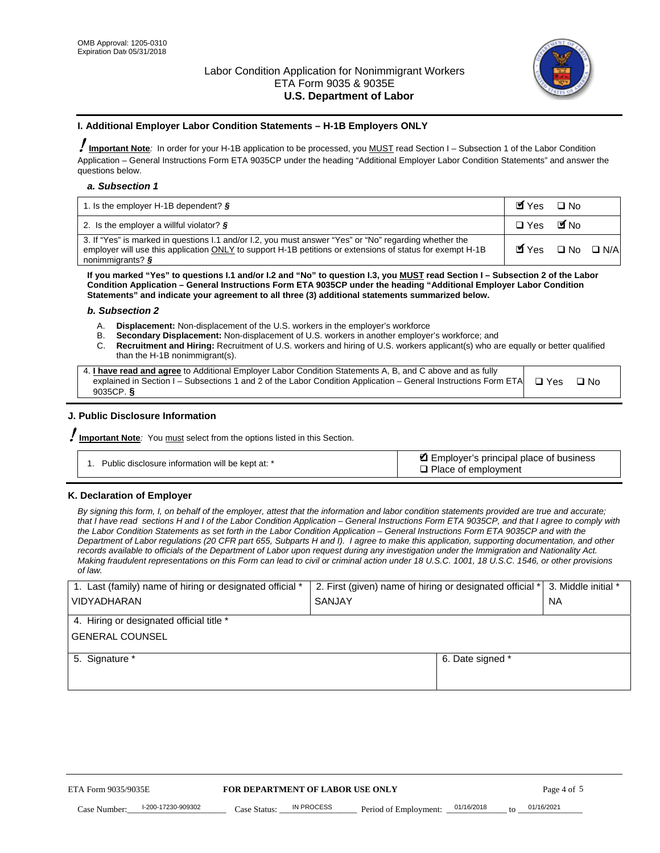

#### **I. Additional Employer Labor Condition Statements – H-1B Employers ONLY**

!**Important Note***:* In order for your H-1B application to be processed, you MUST read Section I – Subsection 1 of the Labor Condition Application – General Instructions Form ETA 9035CP under the heading "Additional Employer Labor Condition Statements" and answer the questions below.

#### *a. Subsection 1*

| 1. Is the employer H-1B dependent? $\S$                                                                                                                                                                                                 | Myes                                          | $\Box$ No              |  |
|-----------------------------------------------------------------------------------------------------------------------------------------------------------------------------------------------------------------------------------------|-----------------------------------------------|------------------------|--|
| 2. Is the employer a willful violator? $\frac{1}{2}$                                                                                                                                                                                    | $\Box$ Yes                                    | <b>M</b> <sub>No</sub> |  |
| 3. If "Yes" is marked in questions 1.1 and/or 1.2, you must answer "Yes" or "No" regarding whether the<br>employer will use this application ONLY to support H-1B petitions or extensions of status for exempt H-1B<br>nonimmigrants? § | $\blacksquare$ Yes $\square$ No $\square$ N/A |                        |  |

**If you marked "Yes" to questions I.1 and/or I.2 and "No" to question I.3, you MUST read Section I – Subsection 2 of the Labor Condition Application – General Instructions Form ETA 9035CP under the heading "Additional Employer Labor Condition Statements" and indicate your agreement to all three (3) additional statements summarized below.** 

#### *b. Subsection 2*

- A. **Displacement:** Non-displacement of the U.S. workers in the employer's workforce
- B. **Secondary Displacement:** Non-displacement of U.S. workers in another employer's workforce; and
- C. **Recruitment and Hiring:** Recruitment of U.S. workers and hiring of U.S. workers applicant(s) who are equally or better qualified than the H-1B nonimmigrant(s).

| 4. I have read and agree to Additional Employer Labor Condition Statements A, B, and C above and as fully                  |      |
|----------------------------------------------------------------------------------------------------------------------------|------|
| explained in Section I – Subsections 1 and 2 of the Labor Condition Application – General Instructions Form ETA $\Box$ Yes | ∩ Nח |
| 9035CP. $\delta$                                                                                                           |      |

# **J. Public Disclosure Information**

!**Important Note***:* You must select from the options listed in this Section.

| Public disclosure information will be kept at: * | Employer's principal place of business<br>$\Box$ Place of employment |
|--------------------------------------------------|----------------------------------------------------------------------|
|--------------------------------------------------|----------------------------------------------------------------------|

#### **K. Declaration of Employer**

*By signing this form, I, on behalf of the employer, attest that the information and labor condition statements provided are true and accurate;*  that I have read sections H and I of the Labor Condition Application – General Instructions Form ETA 9035CP, and that I agree to comply with *the Labor Condition Statements as set forth in the Labor Condition Application – General Instructions Form ETA 9035CP and with the Department of Labor regulations (20 CFR part 655, Subparts H and I). I agree to make this application, supporting documentation, and other records available to officials of the Department of Labor upon request during any investigation under the Immigration and Nationality Act. Making fraudulent representations on this Form can lead to civil or criminal action under 18 U.S.C. 1001, 18 U.S.C. 1546, or other provisions of law.* 

| 1. Last (family) name of hiring or designated official * | 2. First (given) name of hiring or designated official * |                                                     | 3. Middle initial * |
|----------------------------------------------------------|----------------------------------------------------------|-----------------------------------------------------|---------------------|
| <b>VIDYADHARAN</b>                                       | <b>SANJAY</b>                                            |                                                     | <b>NA</b>           |
| 4. Hiring or designated official title *                 |                                                          |                                                     |                     |
| <b>GENERAL COUNSEL</b>                                   |                                                          |                                                     |                     |
| 5. Signature *                                           |                                                          | 6. Date signed *                                    |                     |
|                                                          |                                                          |                                                     |                     |
|                                                          |                                                          |                                                     |                     |
|                                                          |                                                          |                                                     |                     |
|                                                          |                                                          |                                                     |                     |
| FOR DEPARTMENT OF LABOR USE ONLY<br>ETA Form 9035/9035E  |                                                          |                                                     | Page 4 of 5         |
| I-200-17230-909302<br>Case Number<br>Case Status:        | IN PROCESS<br>Period of Employment:                      | 01/16/2018<br>01/16/2021<br>$\mathbf{f} \mathbf{O}$ |                     |